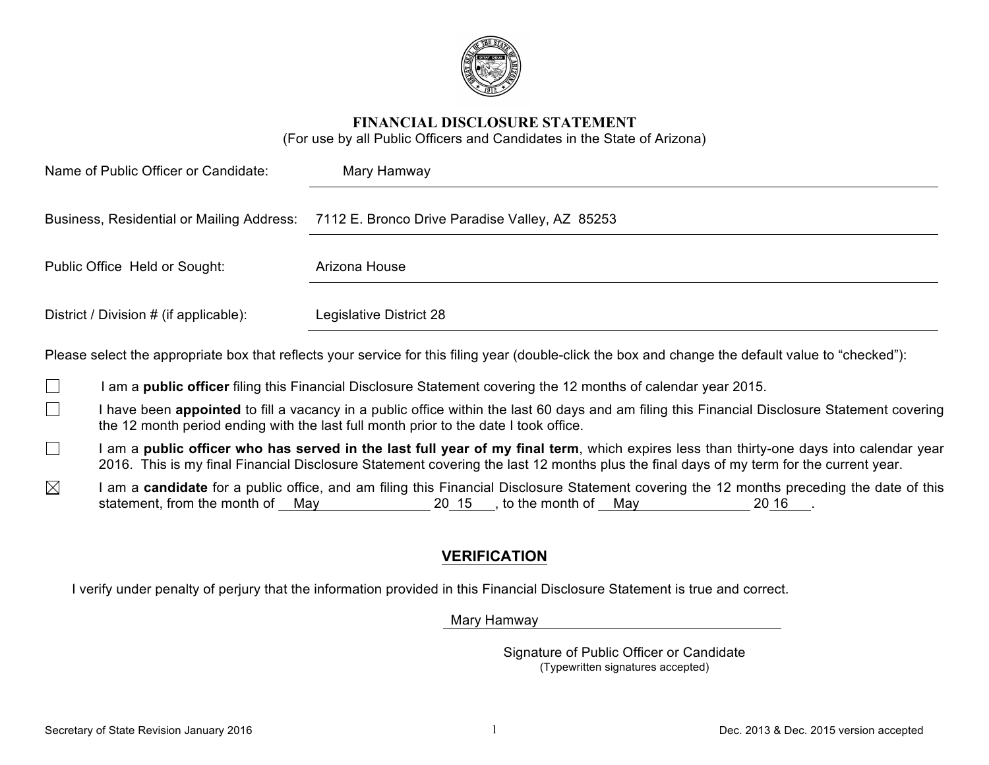

**FINANCIAL DISCLOSURE STATEMENT**

(For use by all Public Officers and Candidates in the State of Arizona)

| Name of Public Officer or Candidate:             | Mary Hamway                                    |
|--------------------------------------------------|------------------------------------------------|
| <b>Business, Residential or Mailing Address:</b> | 7112 E. Bronco Drive Paradise Valley, AZ 85253 |
| Public Office Held or Sought:                    | Arizona House                                  |
| District / Division # (if applicable):           | Legislative District 28                        |

Please select the appropriate box that reflects your service for this filing year (double-click the box and change the default value to "checked"):

- П I am a **public officer** filing this Financial Disclosure Statement covering the 12 months of calendar year 2015.
- $\Box$ I have been **appointed** to fill a vacancy in a public office within the last 60 days and am filing this Financial Disclosure Statement covering the 12 month period ending with the last full month prior to the date I took office.
- $\Box$ I am a **public officer who has served in the last full year of my final term**, which expires less than thirty-one days into calendar year 2016. This is my final Financial Disclosure Statement covering the last 12 months plus the final days of my term for the current year.
- $\boxtimes$ I am a **candidate** for a public office, and am filing this Financial Disclosure Statement covering the 12 months preceding the date of this statement, from the month of May 20 15, to the month of May 20 16.

# **VERIFICATION**

I verify under penalty of perjury that the information provided in this Financial Disclosure Statement is true and correct.

Mary Hamway

Signature of Public Officer or Candidate (Typewritten signatures accepted)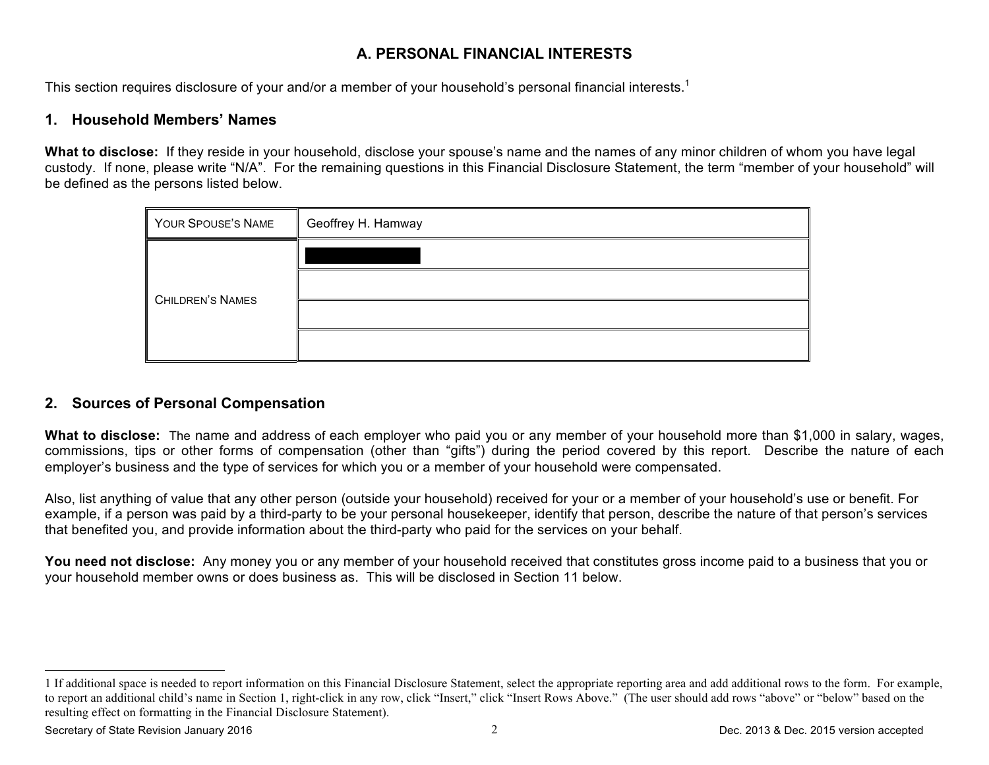## **A. PERSONAL FINANCIAL INTERESTS**

This section requires disclosure of your and/or a member of your household's personal financial interests.<sup>1</sup>

### **1. Household Members' Names**

**What to disclose:** If they reside in your household, disclose your spouse's name and the names of any minor children of whom you have legal custody. If none, please write "N/A". For the remaining questions in this Financial Disclosure Statement, the term "member of your household" will be defined as the persons listed below.

| YOUR SPOUSE'S NAME      | Geoffrey H. Hamway |
|-------------------------|--------------------|
|                         |                    |
|                         |                    |
| <b>CHILDREN'S NAMES</b> |                    |
|                         |                    |

### **2. Sources of Personal Compensation**

**What to disclose:** The name and address of each employer who paid you or any member of your household more than \$1,000 in salary, wages, commissions, tips or other forms of compensation (other than "gifts") during the period covered by this report. Describe the nature of each employer's business and the type of services for which you or a member of your household were compensated.

Also, list anything of value that any other person (outside your household) received for your or a member of your household's use or benefit. For example, if a person was paid by a third-party to be your personal housekeeper, identify that person, describe the nature of that person's services that benefited you, and provide information about the third-party who paid for the services on your behalf.

**You need not disclose:** Any money you or any member of your household received that constitutes gross income paid to a business that you or your household member owns or does business as. This will be disclosed in Section 11 below.

 $\overline{a}$ 

<sup>1</sup> If additional space is needed to report information on this Financial Disclosure Statement, select the appropriate reporting area and add additional rows to the form. For example, to report an additional child's name in Section 1, right-click in any row, click "Insert," click "Insert Rows Above." (The user should add rows "above" or "below" based on the resulting effect on formatting in the Financial Disclosure Statement).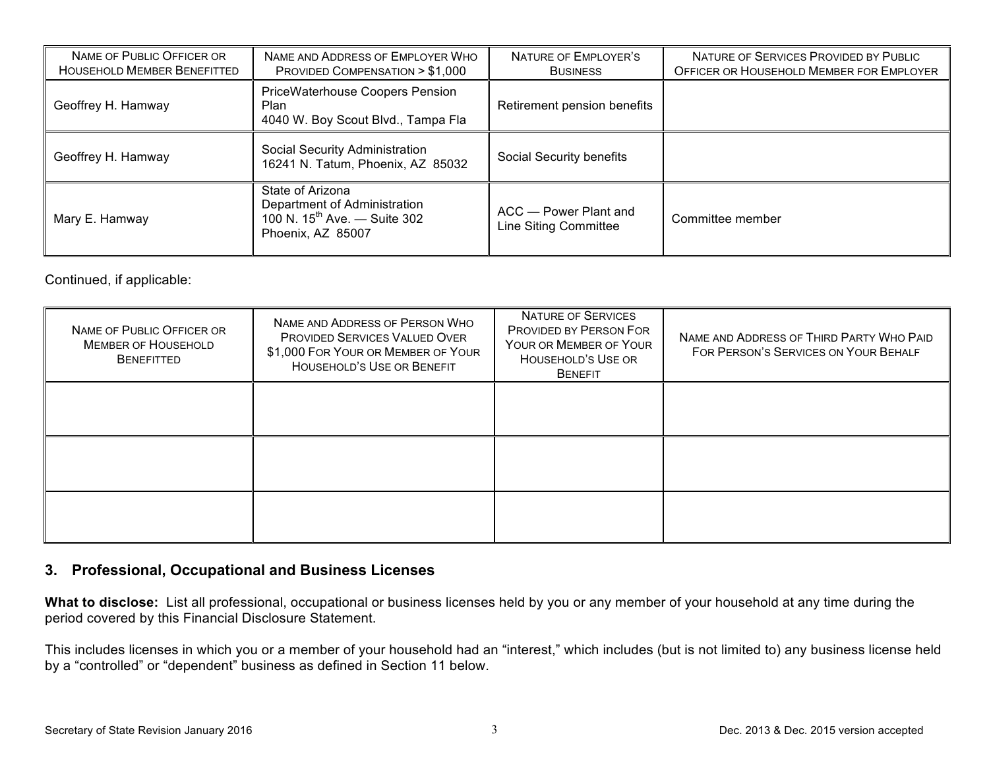| NAME OF PUBLIC OFFICER OR<br><b>HOUSEHOLD MEMBER BENEFITTED</b> | NAME AND ADDRESS OF EMPLOYER WHO<br>PROVIDED COMPENSATION > \$1,000                                        | NATURE OF EMPLOYER'S<br><b>BUSINESS</b>        | NATURE OF SERVICES PROVIDED BY PUBLIC<br>OFFICER OR HOUSEHOLD MEMBER FOR EMPLOYER |
|-----------------------------------------------------------------|------------------------------------------------------------------------------------------------------------|------------------------------------------------|-----------------------------------------------------------------------------------|
| Geoffrey H. Hamway                                              | <b>PriceWaterhouse Coopers Pension</b><br>Plan<br>4040 W. Boy Scout Blvd., Tampa Fla                       | Retirement pension benefits                    |                                                                                   |
| Geoffrey H. Hamway                                              | Social Security Administration<br>16241 N. Tatum, Phoenix, AZ 85032                                        | Social Security benefits                       |                                                                                   |
| Mary E. Hamway                                                  | State of Arizona<br>Department of Administration<br>100 N. $15^{th}$ Ave. - Suite 302<br>Phoenix, AZ 85007 | ACC - Power Plant and<br>Line Siting Committee | Committee member                                                                  |

Continued, if applicable:

| NAME OF PUBLIC OFFICER OR<br><b>MEMBER OF HOUSEHOLD</b><br><b>BENEFITTED</b> | NAME AND ADDRESS OF PERSON WHO<br><b>PROVIDED SERVICES VALUED OVER</b><br>\$1,000 FOR YOUR OR MEMBER OF YOUR<br>HOUSEHOLD'S USE OR BENEFIT | <b>NATURE OF SERVICES</b><br><b>PROVIDED BY PERSON FOR</b><br>YOUR OR MEMBER OF YOUR<br>HOUSEHOLD'S USE OR<br><b>BENEFIT</b> | NAME AND ADDRESS OF THIRD PARTY WHO PAID<br>FOR PERSON'S SERVICES ON YOUR BEHALF |
|------------------------------------------------------------------------------|--------------------------------------------------------------------------------------------------------------------------------------------|------------------------------------------------------------------------------------------------------------------------------|----------------------------------------------------------------------------------|
|                                                                              |                                                                                                                                            |                                                                                                                              |                                                                                  |
|                                                                              |                                                                                                                                            |                                                                                                                              |                                                                                  |
|                                                                              |                                                                                                                                            |                                                                                                                              |                                                                                  |

# **3. Professional, Occupational and Business Licenses**

**What to disclose:** List all professional, occupational or business licenses held by you or any member of your household at any time during the period covered by this Financial Disclosure Statement.

This includes licenses in which you or a member of your household had an "interest," which includes (but is not limited to) any business license held by a "controlled" or "dependent" business as defined in Section 11 below.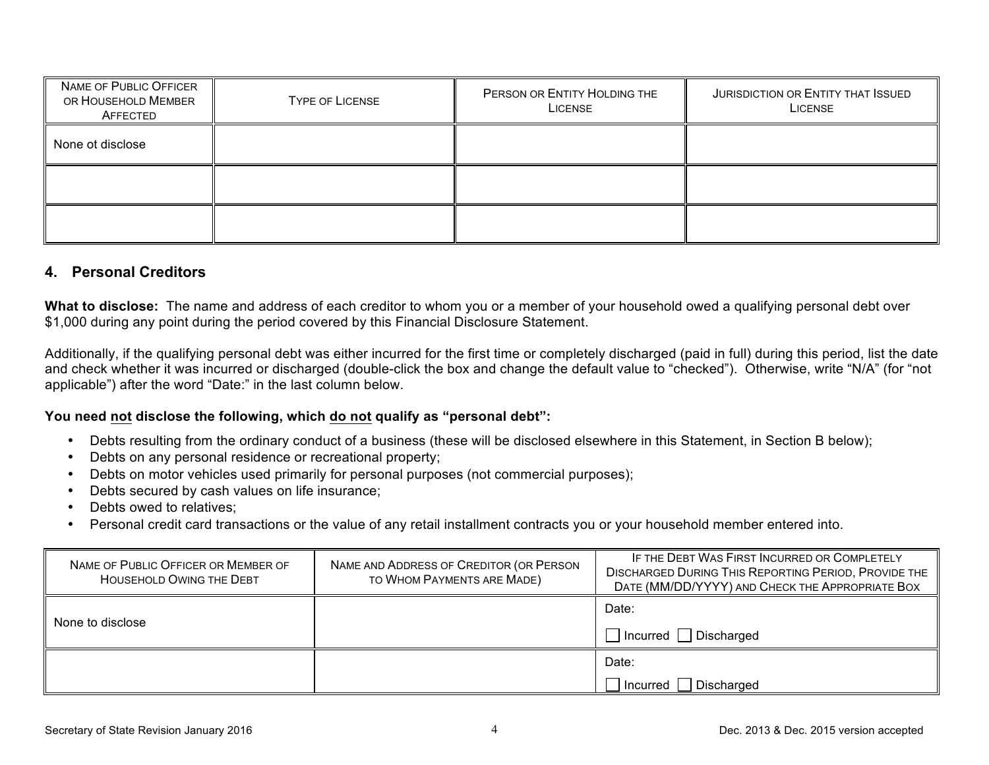| NAME OF PUBLIC OFFICER<br>OR HOUSEHOLD MEMBER<br>AFFECTED | TYPE OF LICENSE | PERSON OR ENTITY HOLDING THE<br>LICENSE | JURISDICTION OR ENTITY THAT ISSUED<br>LICENSE |
|-----------------------------------------------------------|-----------------|-----------------------------------------|-----------------------------------------------|
| None ot disclose                                          |                 |                                         |                                               |
|                                                           |                 |                                         |                                               |
|                                                           |                 |                                         |                                               |

### **4. Personal Creditors**

**What to disclose:** The name and address of each creditor to whom you or a member of your household owed a qualifying personal debt over \$1,000 during any point during the period covered by this Financial Disclosure Statement.

Additionally, if the qualifying personal debt was either incurred for the first time or completely discharged (paid in full) during this period, list the date and check whether it was incurred or discharged (double-click the box and change the default value to "checked"). Otherwise, write "N/A" (for "not applicable") after the word "Date:" in the last column below.

#### **You need not disclose the following, which do not qualify as "personal debt":**

- Debts resulting from the ordinary conduct of a business (these will be disclosed elsewhere in this Statement, in Section B below);
- Debts on any personal residence or recreational property;
- Debts on motor vehicles used primarily for personal purposes (not commercial purposes);
- Debts secured by cash values on life insurance;
- Debts owed to relatives;
- Personal credit card transactions or the value of any retail installment contracts you or your household member entered into.

| NAME OF PUBLIC OFFICER OR MEMBER OF<br><b>HOUSEHOLD OWING THE DEBT</b> | NAME AND ADDRESS OF CREDITOR (OR PERSON<br>TO WHOM PAYMENTS ARE MADE) | IF THE DEBT WAS FIRST INCURRED OR COMPLETELY<br><b>DISCHARGED DURING THIS REPORTING PERIOD, PROVIDE THE</b><br>DATE (MM/DD/YYYY) AND CHECK THE APPROPRIATE BOX |
|------------------------------------------------------------------------|-----------------------------------------------------------------------|----------------------------------------------------------------------------------------------------------------------------------------------------------------|
| None to disclose                                                       |                                                                       | Date:                                                                                                                                                          |
|                                                                        |                                                                       | Incurred Discharged<br>$\mathbf{I}$                                                                                                                            |
|                                                                        |                                                                       | Date:                                                                                                                                                          |
|                                                                        |                                                                       | Incurred   Discharged                                                                                                                                          |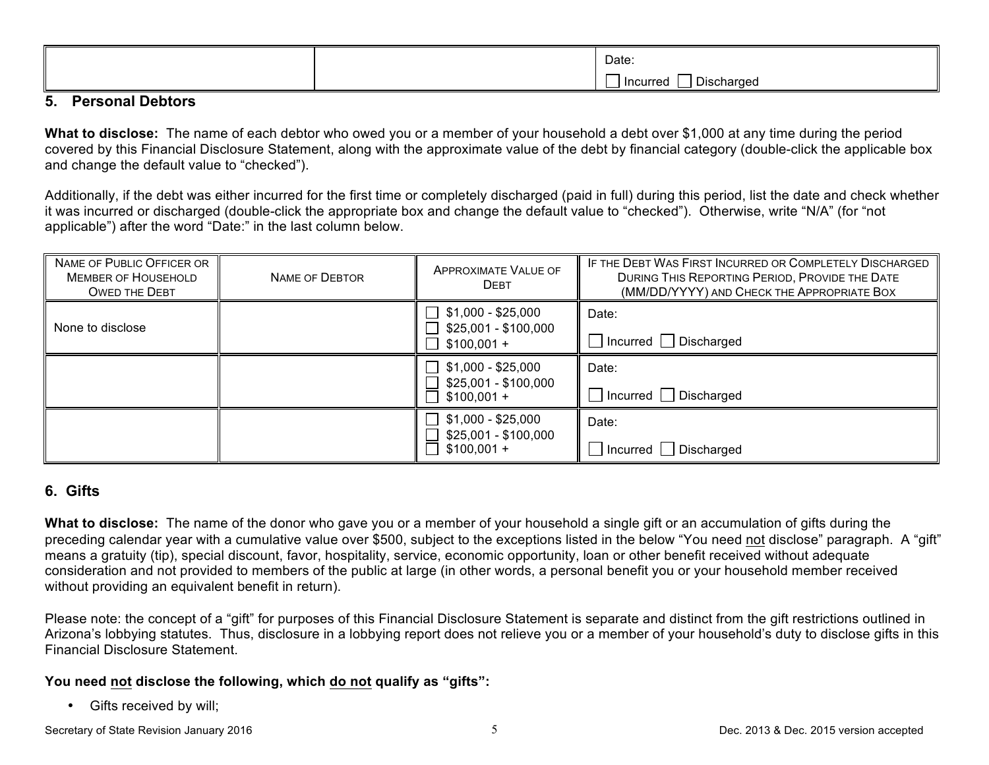|  | Date:                               |
|--|-------------------------------------|
|  | - -<br>Incurred<br>Discharged<br>__ |

#### **5. Personal Debtors**

**What to disclose:** The name of each debtor who owed you or a member of your household a debt over \$1,000 at any time during the period covered by this Financial Disclosure Statement, along with the approximate value of the debt by financial category (double-click the applicable box and change the default value to "checked").

Additionally, if the debt was either incurred for the first time or completely discharged (paid in full) during this period, list the date and check whether it was incurred or discharged (double-click the appropriate box and change the default value to "checked"). Otherwise, write "N/A" (for "not applicable") after the word "Date:" in the last column below.

| NAME OF PUBLIC OFFICER OR<br><b>MEMBER OF HOUSEHOLD</b><br><b>OWED THE DEBT</b> | NAME OF DEBTOR | <b>APPROXIMATE VALUE OF</b><br><b>DEBT</b>                                       | IF THE DEBT WAS FIRST INCURRED OR COMPLETELY DISCHARGED<br>DURING THIS REPORTING PERIOD, PROVIDE THE DATE<br>(MM/DD/YYYY) AND CHECK THE APPROPRIATE BOX |
|---------------------------------------------------------------------------------|----------------|----------------------------------------------------------------------------------|---------------------------------------------------------------------------------------------------------------------------------------------------------|
| None to disclose                                                                |                | $\perp$<br>\$1,000 - \$25,000<br>\$25,001 - \$100,000<br>$$100,001 +$<br>$\perp$ | Date:<br>J Incurred □ Discharged                                                                                                                        |
|                                                                                 |                | \$1,000 - \$25,000<br>\$25,001 - \$100,000<br>$$100,001 +$                       | Date:<br>$\Box$ Incurred $\Box$ Discharged                                                                                                              |
|                                                                                 |                | \$1,000 - \$25,000<br>\$25,001 - \$100,000<br>$$100,001 +$                       | Date:<br>  Incurred   Discharged                                                                                                                        |

# **6. Gifts**

**What to disclose:** The name of the donor who gave you or a member of your household a single gift or an accumulation of gifts during the preceding calendar year with a cumulative value over \$500, subject to the exceptions listed in the below "You need not disclose" paragraph. A "gift" means a gratuity (tip), special discount, favor, hospitality, service, economic opportunity, loan or other benefit received without adequate consideration and not provided to members of the public at large (in other words, a personal benefit you or your household member received without providing an equivalent benefit in return).

Please note: the concept of a "gift" for purposes of this Financial Disclosure Statement is separate and distinct from the gift restrictions outlined in Arizona's lobbying statutes. Thus, disclosure in a lobbying report does not relieve you or a member of your household's duty to disclose gifts in this Financial Disclosure Statement.

### **You need not disclose the following, which do not qualify as "gifts":**

• Gifts received by will;

Secretary of State Revision January 2016 **Secretary of State Revision January 2016 Dec.** 2013 & Dec. 2015 version accepted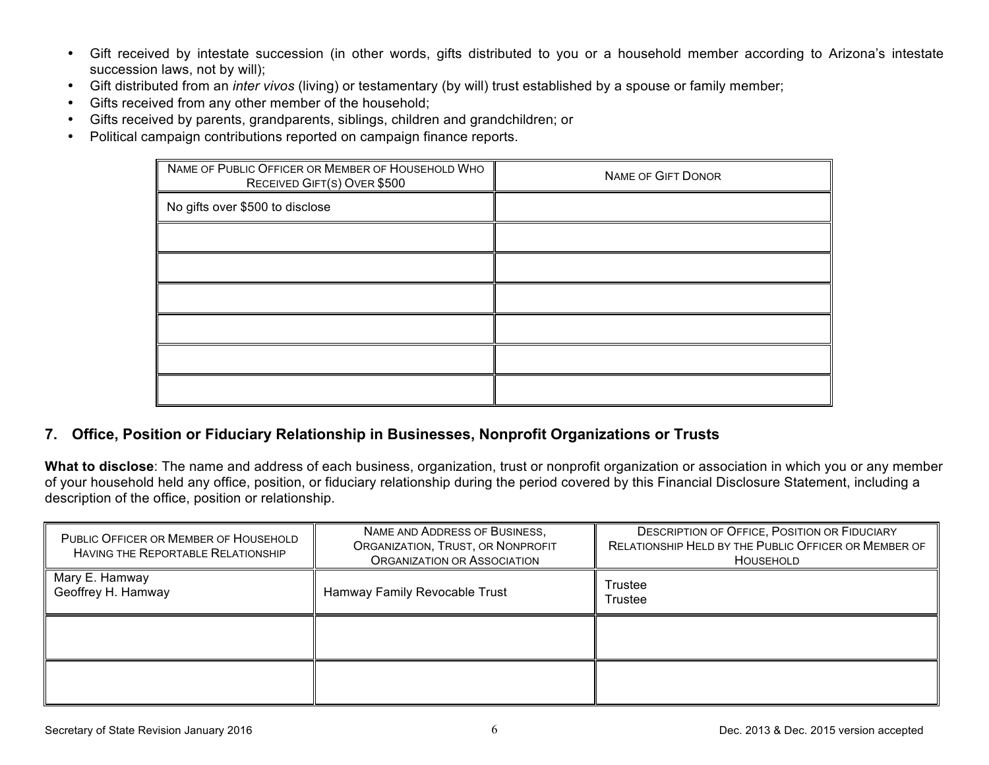- Gift received by intestate succession (in other words, gifts distributed to you or a household member according to Arizona's intestate succession laws, not by will);
- Gift distributed from an *inter vivos* (living) or testamentary (by will) trust established by a spouse or family member;
- Gifts received from any other member of the household;
- Gifts received by parents, grandparents, siblings, children and grandchildren; or
- Political campaign contributions reported on campaign finance reports.

| NAME OF PUBLIC OFFICER OR MEMBER OF HOUSEHOLD WHO<br>RECEIVED GIFT(S) OVER \$500 | <b>NAME OF GIFT DONOR</b> |
|----------------------------------------------------------------------------------|---------------------------|
| No gifts over \$500 to disclose                                                  |                           |
|                                                                                  |                           |
|                                                                                  |                           |
|                                                                                  |                           |
|                                                                                  |                           |
|                                                                                  |                           |
|                                                                                  |                           |

# **7. Office, Position or Fiduciary Relationship in Businesses, Nonprofit Organizations or Trusts**

**What to disclose**: The name and address of each business, organization, trust or nonprofit organization or association in which you or any member of your household held any office, position, or fiduciary relationship during the period covered by this Financial Disclosure Statement, including a description of the office, position or relationship.

| PUBLIC OFFICER OR MEMBER OF HOUSEHOLD<br><b>HAVING THE REPORTABLE RELATIONSHIP</b> | NAME AND ADDRESS OF BUSINESS,<br>ORGANIZATION, TRUST, OR NONPROFIT<br>ORGANIZATION OR ASSOCIATION | <b>DESCRIPTION OF OFFICE, POSITION OR FIDUCIARY</b><br>RELATIONSHIP HELD BY THE PUBLIC OFFICER OR MEMBER OF<br>HOUSEHOLD |
|------------------------------------------------------------------------------------|---------------------------------------------------------------------------------------------------|--------------------------------------------------------------------------------------------------------------------------|
| Mary E. Hamway<br>Geoffrey H. Hamway                                               | Hamway Family Revocable Trust                                                                     | Trustee<br>Trustee                                                                                                       |
|                                                                                    |                                                                                                   |                                                                                                                          |
|                                                                                    |                                                                                                   |                                                                                                                          |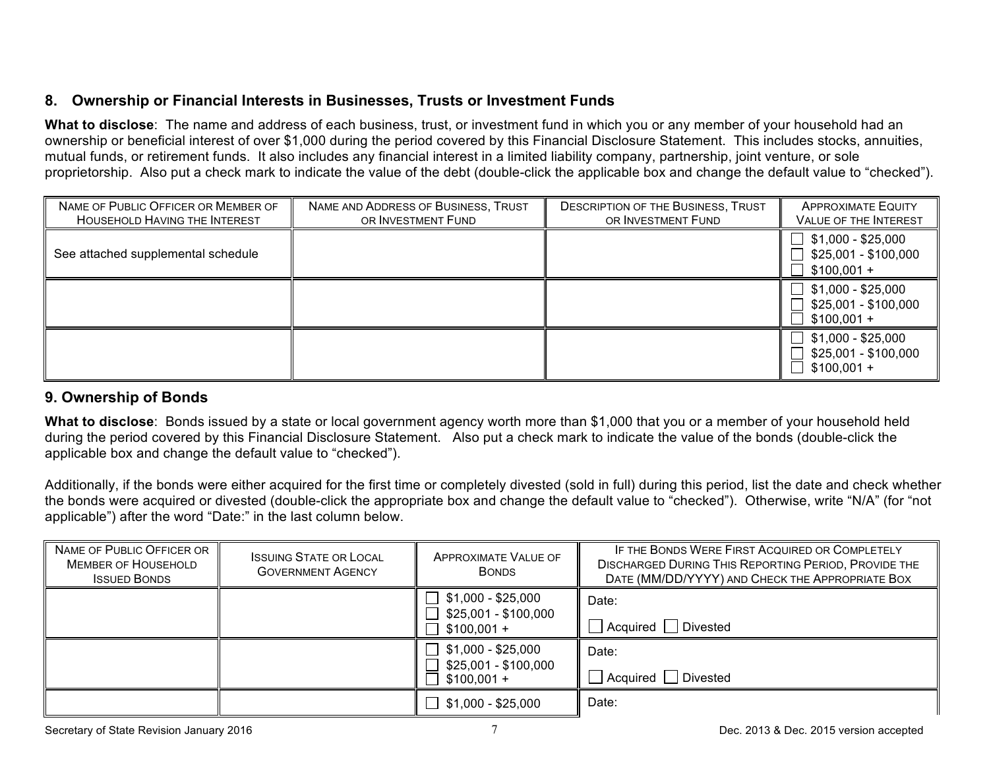## **8. Ownership or Financial Interests in Businesses, Trusts or Investment Funds**

**What to disclose**: The name and address of each business, trust, or investment fund in which you or any member of your household had an ownership or beneficial interest of over \$1,000 during the period covered by this Financial Disclosure Statement. This includes stocks, annuities, mutual funds, or retirement funds. It also includes any financial interest in a limited liability company, partnership, joint venture, or sole proprietorship. Also put a check mark to indicate the value of the debt (double-click the applicable box and change the default value to "checked").

| NAME OF PUBLIC OFFICER OR MEMBER OF<br>HOUSEHOLD HAVING THE INTEREST | NAME AND ADDRESS OF BUSINESS, TRUST<br>OR INVESTMENT FUND | <b>DESCRIPTION OF THE BUSINESS, TRUST</b><br>OR INVESTMENT FUND | <b>APPROXIMATE EQUITY</b><br><b>VALUE OF THE INTEREST</b>                |
|----------------------------------------------------------------------|-----------------------------------------------------------|-----------------------------------------------------------------|--------------------------------------------------------------------------|
| See attached supplemental schedule                                   |                                                           |                                                                 | $\Box$ \$1,000 - \$25,000<br>$\Box$ \$25,001 - \$100,000<br>$$100,001 +$ |
|                                                                      |                                                           |                                                                 | \$1,000 - \$25,000<br>$\Box$ \$25,001 - \$100,000<br>$$100,001 +$        |
|                                                                      |                                                           |                                                                 | $\Box$ \$1,000 - \$25,000<br>\$25,001 - \$100,000<br>$$100,001 +$        |

# **9. Ownership of Bonds**

**What to disclose**: Bonds issued by a state or local government agency worth more than \$1,000 that you or a member of your household held during the period covered by this Financial Disclosure Statement. Also put a check mark to indicate the value of the bonds (double-click the applicable box and change the default value to "checked").

Additionally, if the bonds were either acquired for the first time or completely divested (sold in full) during this period, list the date and check whether the bonds were acquired or divested (double-click the appropriate box and change the default value to "checked"). Otherwise, write "N/A" (for "not applicable") after the word "Date:" in the last column below.

| NAME OF PUBLIC OFFICER OR<br><b>MEMBER OF HOUSEHOLD</b><br><b>ISSUED BONDS</b> | <b>ISSUING STATE OR LOCAL</b><br><b>GOVERNMENT AGENCY</b> | <b>APPROXIMATE VALUE OF</b><br><b>BONDS</b>                | IF THE BONDS WERE FIRST ACQUIRED OR COMPLETELY<br><b>DISCHARGED DURING THIS REPORTING PERIOD, PROVIDE THE</b><br>DATE (MM/DD/YYYY) AND CHECK THE APPROPRIATE BOX |
|--------------------------------------------------------------------------------|-----------------------------------------------------------|------------------------------------------------------------|------------------------------------------------------------------------------------------------------------------------------------------------------------------|
|                                                                                |                                                           | \$1,000 - \$25,000<br>\$25,001 - \$100,000<br>$$100,001 +$ | Date:<br>Divested<br>  Acquired                                                                                                                                  |
|                                                                                |                                                           | \$1,000 - \$25,000<br>\$25,001 - \$100,000<br>$$100,001 +$ | Date:<br>Divested<br>Acquired                                                                                                                                    |
|                                                                                |                                                           | \$1,000 - \$25,000                                         | Date:                                                                                                                                                            |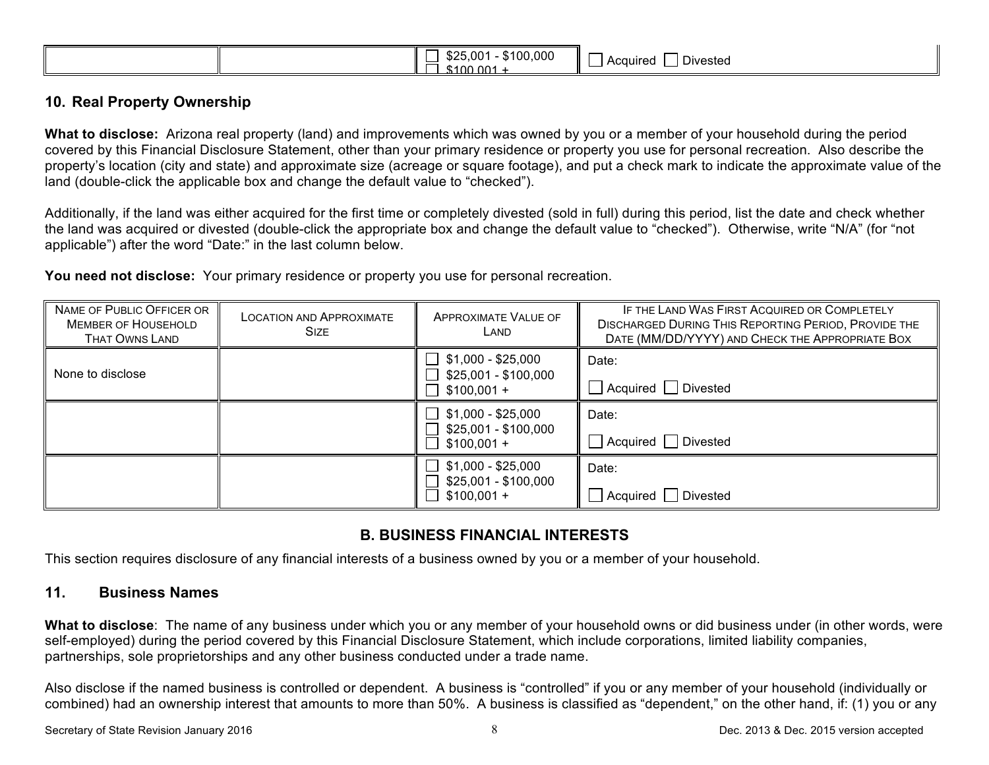| $^{\circ}$ \$100.001. |
|-----------------------|
|-----------------------|

### **10. Real Property Ownership**

**What to disclose:** Arizona real property (land) and improvements which was owned by you or a member of your household during the period covered by this Financial Disclosure Statement, other than your primary residence or property you use for personal recreation. Also describe the property's location (city and state) and approximate size (acreage or square footage), and put a check mark to indicate the approximate value of the land (double-click the applicable box and change the default value to "checked").

Additionally, if the land was either acquired for the first time or completely divested (sold in full) during this period, list the date and check whether the land was acquired or divested (double-click the appropriate box and change the default value to "checked"). Otherwise, write "N/A" (for "not applicable") after the word "Date:" in the last column below.

**You need not disclose:** Your primary residence or property you use for personal recreation.

| NAME OF PUBLIC OFFICER OR<br><b>MEMBER OF HOUSEHOLD</b><br>THAT OWNS LAND | <b>LOCATION AND APPROXIMATE</b><br><b>SIZE</b> | <b>APPROXIMATE VALUE OF</b><br>LAND                        | IF THE LAND WAS FIRST ACQUIRED OR COMPLETELY<br><b>DISCHARGED DURING THIS REPORTING PERIOD, PROVIDE THE</b><br>DATE (MM/DD/YYYY) AND CHECK THE APPROPRIATE BOX |
|---------------------------------------------------------------------------|------------------------------------------------|------------------------------------------------------------|----------------------------------------------------------------------------------------------------------------------------------------------------------------|
| None to disclose                                                          |                                                | \$1,000 - \$25,000<br>\$25,001 - \$100,000<br>$$100,001 +$ | Date:<br>Acquired   Divested                                                                                                                                   |
|                                                                           |                                                | \$1,000 - \$25,000<br>\$25,001 - \$100,000<br>$$100,001 +$ | Date:<br>Acquired   Divested                                                                                                                                   |
|                                                                           |                                                | $$1,000 - $25,000$<br>\$25,001 - \$100,000<br>$$100,001 +$ | Date:<br>Divested<br>Acquired I                                                                                                                                |

### **B. BUSINESS FINANCIAL INTERESTS**

This section requires disclosure of any financial interests of a business owned by you or a member of your household.

### **11. Business Names**

**What to disclose**: The name of any business under which you or any member of your household owns or did business under (in other words, were self-employed) during the period covered by this Financial Disclosure Statement, which include corporations, limited liability companies, partnerships, sole proprietorships and any other business conducted under a trade name.

Also disclose if the named business is controlled or dependent. A business is "controlled" if you or any member of your household (individually or combined) had an ownership interest that amounts to more than 50%. A business is classified as "dependent," on the other hand, if: (1) you or any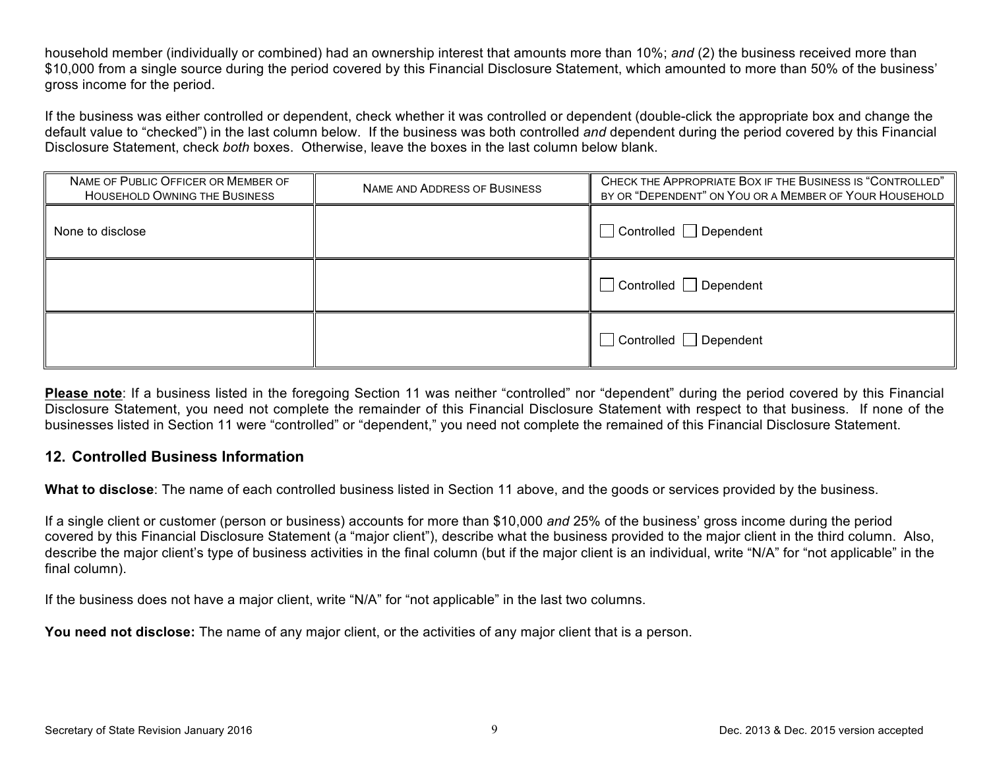household member (individually or combined) had an ownership interest that amounts more than 10%; *and* (2) the business received more than \$10,000 from a single source during the period covered by this Financial Disclosure Statement, which amounted to more than 50% of the business' gross income for the period.

If the business was either controlled or dependent, check whether it was controlled or dependent (double-click the appropriate box and change the default value to "checked") in the last column below. If the business was both controlled *and* dependent during the period covered by this Financial Disclosure Statement, check *both* boxes. Otherwise, leave the boxes in the last column below blank.

| NAME OF PUBLIC OFFICER OR MEMBER OF<br><b>HOUSEHOLD OWNING THE BUSINESS</b> | NAME AND ADDRESS OF BUSINESS | CHECK THE APPROPRIATE BOX IF THE BUSINESS IS "CONTROLLED"<br>BY OR "DEPENDENT" ON YOU OR A MEMBER OF YOUR HOUSEHOLD |
|-----------------------------------------------------------------------------|------------------------------|---------------------------------------------------------------------------------------------------------------------|
| None to disclose                                                            |                              | $\Box$ Controlled $\Box$ Dependent                                                                                  |
|                                                                             |                              | $\Box$ Controlled $\Box$ Dependent                                                                                  |
|                                                                             |                              | $\Box$ Controlled $\Box$ Dependent                                                                                  |

**Please note**: If a business listed in the foregoing Section 11 was neither "controlled" nor "dependent" during the period covered by this Financial Disclosure Statement, you need not complete the remainder of this Financial Disclosure Statement with respect to that business. If none of the businesses listed in Section 11 were "controlled" or "dependent," you need not complete the remained of this Financial Disclosure Statement.

#### **12. Controlled Business Information**

**What to disclose**: The name of each controlled business listed in Section 11 above, and the goods or services provided by the business.

If a single client or customer (person or business) accounts for more than \$10,000 *and* 25% of the business' gross income during the period covered by this Financial Disclosure Statement (a "major client"), describe what the business provided to the major client in the third column. Also, describe the major client's type of business activities in the final column (but if the major client is an individual, write "N/A" for "not applicable" in the final column).

If the business does not have a major client, write "N/A" for "not applicable" in the last two columns.

**You need not disclose:** The name of any major client, or the activities of any major client that is a person.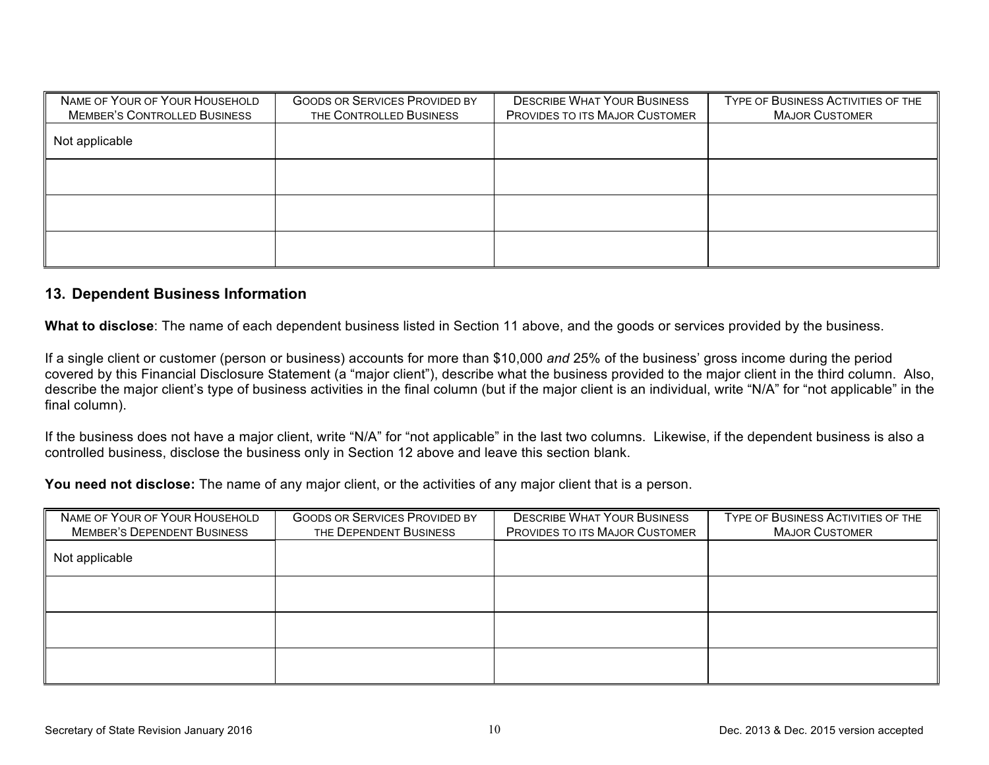| NAME OF YOUR OF YOUR HOUSEHOLD<br><b>MEMBER'S CONTROLLED BUSINESS</b> | <b>GOODS OR SERVICES PROVIDED BY</b><br>THE CONTROLLED BUSINESS | <b>DESCRIBE WHAT YOUR BUSINESS</b><br><b>PROVIDES TO ITS MAJOR CUSTOMER</b> | TYPE OF BUSINESS ACTIVITIES OF THE<br><b>MAJOR CUSTOMER</b> |
|-----------------------------------------------------------------------|-----------------------------------------------------------------|-----------------------------------------------------------------------------|-------------------------------------------------------------|
| Not applicable                                                        |                                                                 |                                                                             |                                                             |
|                                                                       |                                                                 |                                                                             |                                                             |
|                                                                       |                                                                 |                                                                             |                                                             |
|                                                                       |                                                                 |                                                                             |                                                             |

#### **13. Dependent Business Information**

**What to disclose**: The name of each dependent business listed in Section 11 above, and the goods or services provided by the business.

If a single client or customer (person or business) accounts for more than \$10,000 *and* 25% of the business' gross income during the period covered by this Financial Disclosure Statement (a "major client"), describe what the business provided to the major client in the third column. Also, describe the major client's type of business activities in the final column (but if the major client is an individual, write "N/A" for "not applicable" in the final column).

If the business does not have a major client, write "N/A" for "not applicable" in the last two columns. Likewise, if the dependent business is also a controlled business, disclose the business only in Section 12 above and leave this section blank.

You need not disclose: The name of any major client, or the activities of any major client that is a person.

| NAME OF YOUR OF YOUR HOUSEHOLD     | <b>GOODS OR SERVICES PROVIDED BY</b> | <b>DESCRIBE WHAT YOUR BUSINESS</b> | TYPE OF BUSINESS ACTIVITIES OF THE |
|------------------------------------|--------------------------------------|------------------------------------|------------------------------------|
| <b>MEMBER'S DEPENDENT BUSINESS</b> | THE DEPENDENT BUSINESS               | PROVIDES TO ITS MAJOR CUSTOMER     | <b>MAJOR CUSTOMER</b>              |
| Not applicable                     |                                      |                                    |                                    |
|                                    |                                      |                                    |                                    |
|                                    |                                      |                                    |                                    |
|                                    |                                      |                                    |                                    |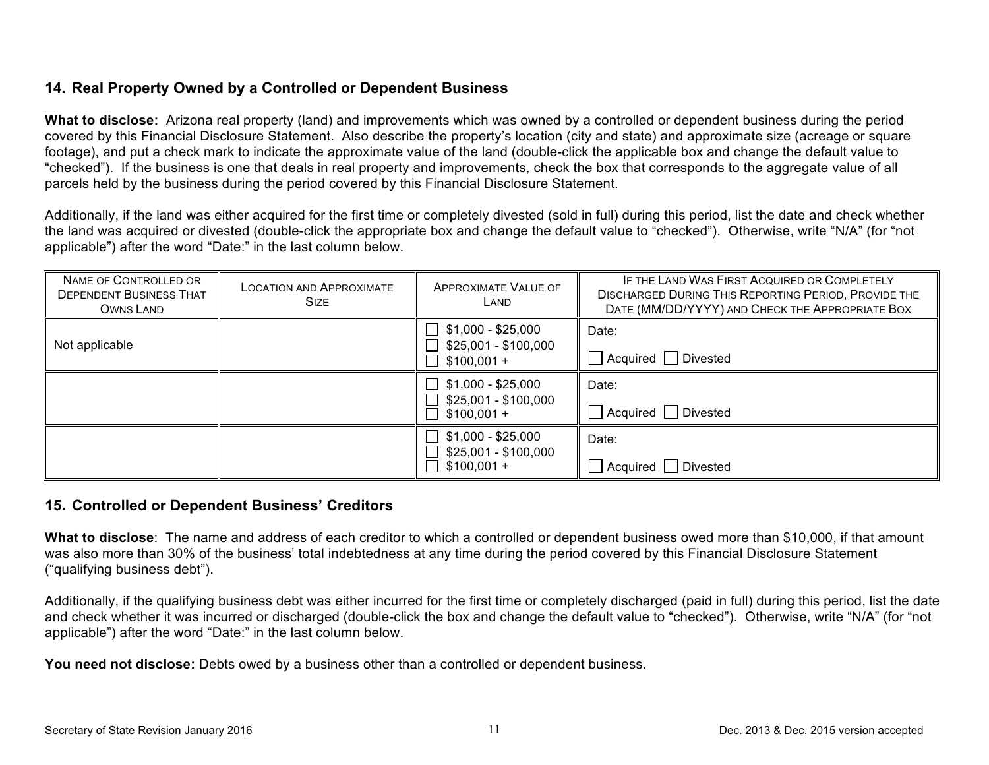## **14. Real Property Owned by a Controlled or Dependent Business**

**What to disclose:** Arizona real property (land) and improvements which was owned by a controlled or dependent business during the period covered by this Financial Disclosure Statement. Also describe the property's location (city and state) and approximate size (acreage or square footage), and put a check mark to indicate the approximate value of the land (double-click the applicable box and change the default value to "checked"). If the business is one that deals in real property and improvements, check the box that corresponds to the aggregate value of all parcels held by the business during the period covered by this Financial Disclosure Statement.

Additionally, if the land was either acquired for the first time or completely divested (sold in full) during this period, list the date and check whether the land was acquired or divested (double-click the appropriate box and change the default value to "checked"). Otherwise, write "N/A" (for "not applicable") after the word "Date:" in the last column below.

| NAME OF CONTROLLED OR<br><b>DEPENDENT BUSINESS THAT</b><br>OWNS LAND | <b>LOCATION AND APPROXIMATE</b><br><b>SIZE</b> | <b>APPROXIMATE VALUE OF</b><br>LAND                                                      | IF THE LAND WAS FIRST ACQUIRED OR COMPLETELY<br><b>DISCHARGED DURING THIS REPORTING PERIOD, PROVIDE THE</b><br>DATE (MM/DD/YYYY) AND CHECK THE APPROPRIATE BOX |
|----------------------------------------------------------------------|------------------------------------------------|------------------------------------------------------------------------------------------|----------------------------------------------------------------------------------------------------------------------------------------------------------------|
| Not applicable                                                       |                                                | $\Box$<br>\$1,000 - \$25,000<br>\$25,001 - \$100,000<br>$\Box$<br>$$100,001 +$<br>$\Box$ | Date:<br>Acquired   Divested                                                                                                                                   |
|                                                                      |                                                | \$1,000 - \$25,000<br>$\Box$<br>\$25,001 - \$100,000<br>$$100,001 +$                     | Date:<br>Acquired   Divested                                                                                                                                   |
|                                                                      |                                                | \$1,000 - \$25,000<br>$\blacksquare$<br>\$25,001 - \$100,000<br>$$100,001 +$             | Date:<br>Divested<br>  Acquired                                                                                                                                |

#### **15. Controlled or Dependent Business' Creditors**

**What to disclose**: The name and address of each creditor to which a controlled or dependent business owed more than \$10,000, if that amount was also more than 30% of the business' total indebtedness at any time during the period covered by this Financial Disclosure Statement ("qualifying business debt").

Additionally, if the qualifying business debt was either incurred for the first time or completely discharged (paid in full) during this period, list the date and check whether it was incurred or discharged (double-click the box and change the default value to "checked"). Otherwise, write "N/A" (for "not applicable") after the word "Date:" in the last column below.

**You need not disclose:** Debts owed by a business other than a controlled or dependent business.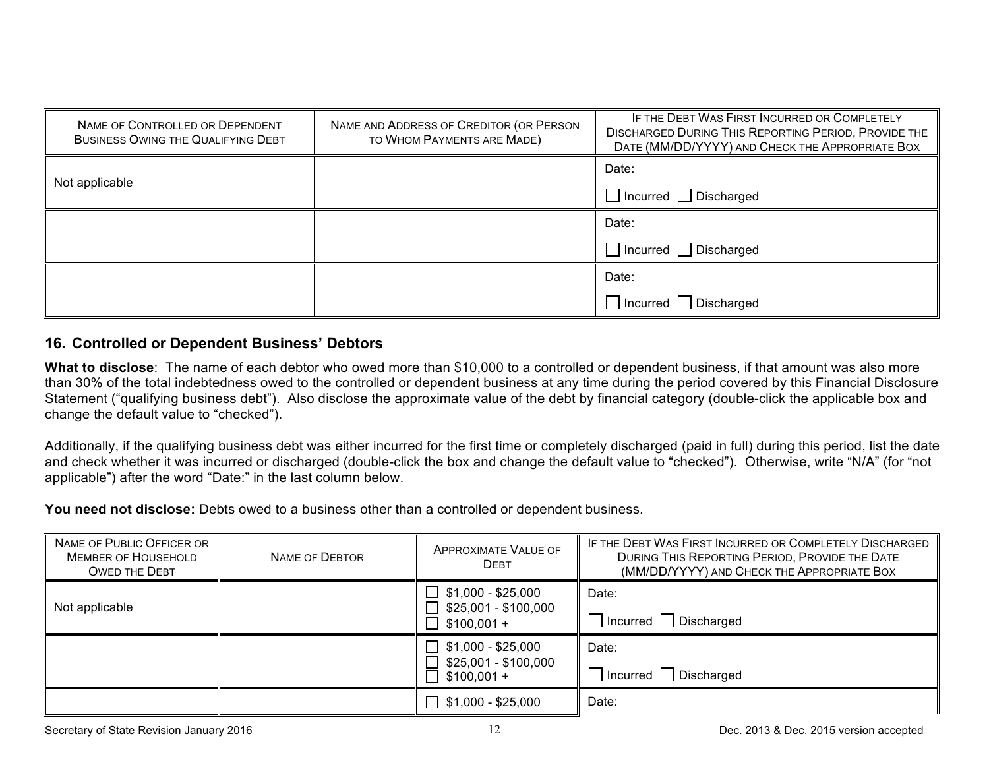| NAME OF CONTROLLED OR DEPENDENT<br>BUSINESS OWING THE QUALIFYING DEBT | NAME AND ADDRESS OF CREDITOR (OR PERSON<br>TO WHOM PAYMENTS ARE MADE) | IF THE DEBT WAS FIRST INCURRED OR COMPLETELY<br><b>DISCHARGED DURING THIS REPORTING PERIOD, PROVIDE THE</b><br>DATE (MM/DD/YYYY) AND CHECK THE APPROPRIATE BOX |
|-----------------------------------------------------------------------|-----------------------------------------------------------------------|----------------------------------------------------------------------------------------------------------------------------------------------------------------|
|                                                                       |                                                                       | Date:                                                                                                                                                          |
| Not applicable                                                        |                                                                       | $\Box$ Incurred $\Box$ Discharged                                                                                                                              |
|                                                                       |                                                                       | Date:                                                                                                                                                          |
|                                                                       |                                                                       | $\Box$ Incurred $\Box$ Discharged                                                                                                                              |
|                                                                       |                                                                       | Date:                                                                                                                                                          |
|                                                                       |                                                                       | $\Box$ Incurred $\Box$ Discharged                                                                                                                              |

# **16. Controlled or Dependent Business' Debtors**

**What to disclose**: The name of each debtor who owed more than \$10,000 to a controlled or dependent business, if that amount was also more than 30% of the total indebtedness owed to the controlled or dependent business at any time during the period covered by this Financial Disclosure Statement ("qualifying business debt"). Also disclose the approximate value of the debt by financial category (double-click the applicable box and change the default value to "checked").

Additionally, if the qualifying business debt was either incurred for the first time or completely discharged (paid in full) during this period, list the date and check whether it was incurred or discharged (double-click the box and change the default value to "checked"). Otherwise, write "N/A" (for "not applicable") after the word "Date:" in the last column below.

**You need not disclose:** Debts owed to a business other than a controlled or dependent business.

| NAME OF PUBLIC OFFICER OR<br><b>MEMBER OF HOUSEHOLD</b><br><b>OWED THE DEBT</b> | NAME OF DEBTOR | APPROXIMATE VALUE OF<br><b>DEBT</b>                        | IF THE DEBT WAS FIRST INCURRED OR COMPLETELY DISCHARGED<br>DURING THIS REPORTING PERIOD, PROVIDE THE DATE<br>(MM/DD/YYYY) AND CHECK THE APPROPRIATE BOX |
|---------------------------------------------------------------------------------|----------------|------------------------------------------------------------|---------------------------------------------------------------------------------------------------------------------------------------------------------|
| Not applicable                                                                  |                | \$1,000 - \$25,000<br>\$25,001 - \$100,000<br>$$100,001 +$ | Date:<br>$\Box$ Incurred $\Box$ Discharged                                                                                                              |
|                                                                                 |                | $$1,000 - $25,000$<br>\$25,001 - \$100,000<br>$$100,001 +$ | Date:<br>Incurred Discharged                                                                                                                            |
|                                                                                 |                | \$1,000 - \$25,000                                         | Date:                                                                                                                                                   |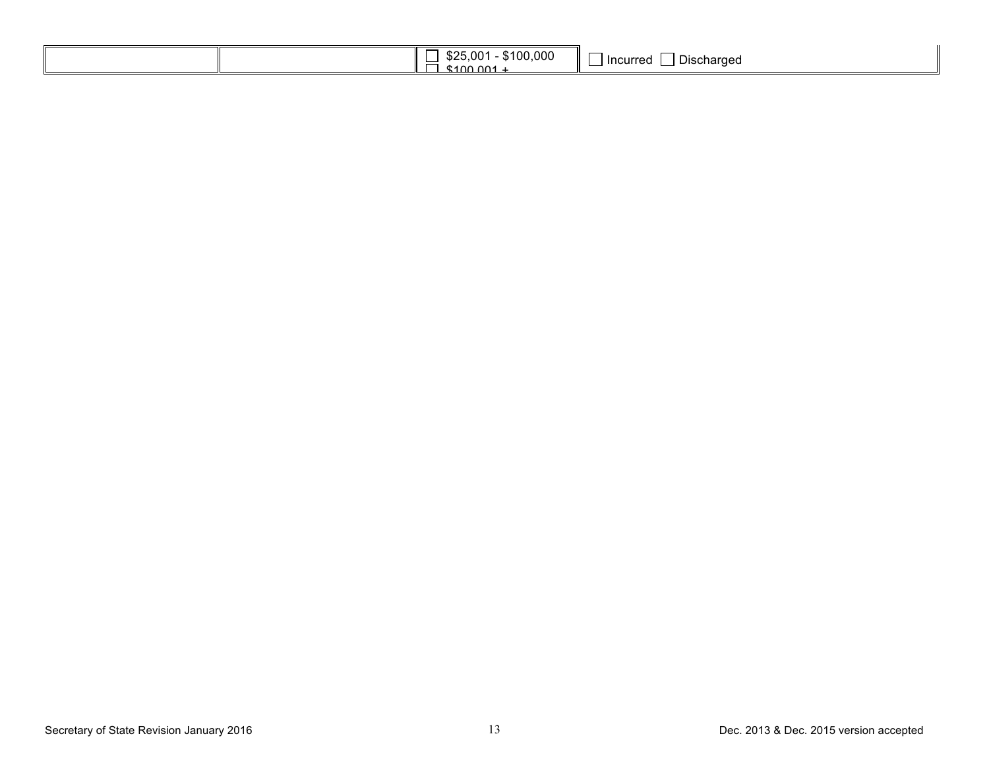| 00.001 |
|--------|
|--------|